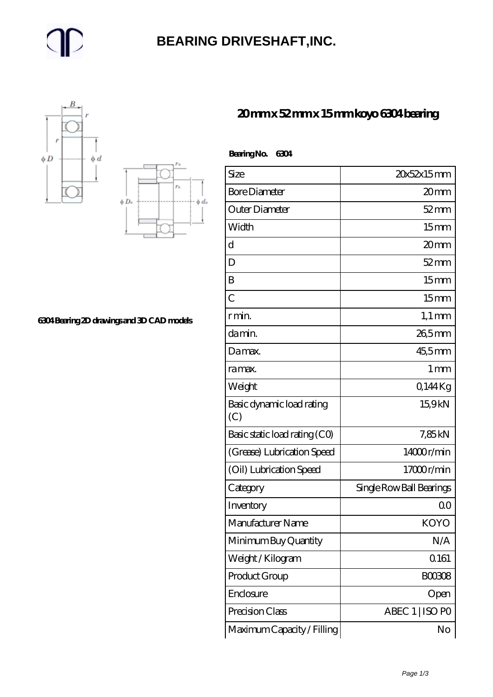## **[BEARING DRIVESHAFT,INC.](https://m.trendco-vick.com)**





**[6304 Bearing 2D drawings and 3D CAD models](https://m.trendco-vick.com/pic-412478.html)**

| 20mmx52mmx15mmkoyo6304bearing |  |
|-------------------------------|--|
|-------------------------------|--|

| Bearing No.<br>6304              |                          |
|----------------------------------|--------------------------|
| Size                             | 20x52x15mm               |
| <b>Bore Diameter</b>             | 20mm                     |
| Outer Diameter                   | $52$ mm                  |
| Width                            | 15 <sub>mm</sub>         |
| d                                | 20mm                     |
| D                                | $52$ mm                  |
| B                                | 15 <sub>mm</sub>         |
| $\overline{C}$                   | 15 <sub>mm</sub>         |
| r min.                           | $1,1 \text{ mm}$         |
| da min.                          | 26,5mm                   |
| Damax.                           | 45,5mm                   |
| ra max.                          | 1 <sub>mm</sub>          |
| Weight                           | Q144Kg                   |
| Basic dynamic load rating<br>(C) | 15,9kN                   |
| Basic static load rating (CO)    | 7,85kN                   |
| (Grease) Lubrication Speed       | 14000r/min               |
| (Oil) Lubrication Speed          | 17000r/min               |
| Category                         | Single Row Ball Bearings |
| Inventory                        | 00                       |
| Manufacturer Name                | KOYO                     |
| Minimum Buy Quantity             | N/A                      |
| Weight / Kilogram                | Q161                     |
| Product Group                    | BOO3O8                   |
| Enclosure                        | Open                     |
| Precision Class                  | ABEC 1   ISO PO          |
| Maximum Capacity / Filling       | No                       |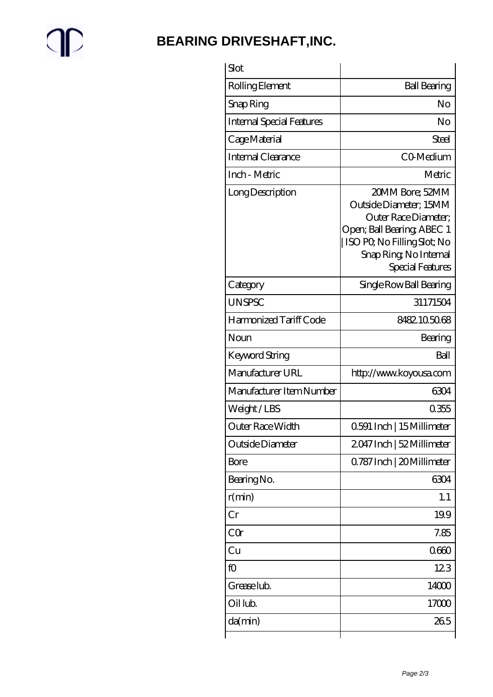$\mathbb{P}$ 

## **[BEARING DRIVESHAFT,INC.](https://m.trendco-vick.com)**

| Slot                             |                                                                                                                                                                             |
|----------------------------------|-----------------------------------------------------------------------------------------------------------------------------------------------------------------------------|
| Rolling Element                  | <b>Ball Bearing</b>                                                                                                                                                         |
| Snap Ring                        | No                                                                                                                                                                          |
| <b>Internal Special Features</b> | No                                                                                                                                                                          |
| Cage Material                    | Steel                                                                                                                                                                       |
| Internal Clearance               | CO-Medium                                                                                                                                                                   |
| Inch - Metric                    | Metric                                                                                                                                                                      |
| Long Description                 | 20MM Bore; 52MM<br>Outside Diameter; 15MM<br>Outer Race Diameter;<br>Open; Ball Bearing; ABEC 1<br>ISO PQ No Filling Slot; No<br>Snap Ring, No Internal<br>Special Features |
| Category                         | Single Row Ball Bearing                                                                                                                                                     |
| <b>UNSPSC</b>                    | 31171504                                                                                                                                                                    |
| Harmonized Tariff Code           | 8482105068                                                                                                                                                                  |
| Noun                             | Bearing                                                                                                                                                                     |
| Keyword String                   | Ball                                                                                                                                                                        |
| Manufacturer URL                 | http://www.koyousa.com                                                                                                                                                      |
| Manufacturer Item Number         | 6304                                                                                                                                                                        |
| Weight/LBS                       | 0355                                                                                                                                                                        |
| Outer Race Width                 | 0.591 Inch   15 Millimeter                                                                                                                                                  |
| Outside Diameter                 | 2047 Inch   52 Millimeter                                                                                                                                                   |
| Bore                             | Q787 Inch   20 Millimeter                                                                                                                                                   |
| Bearing No.                      | 6304                                                                                                                                                                        |
| r(min)                           | 1.1                                                                                                                                                                         |
| Cr                               | 19.9                                                                                                                                                                        |
| CQr                              | 7.85                                                                                                                                                                        |
| Cu                               | 0600                                                                                                                                                                        |
| fO                               | 123                                                                                                                                                                         |
| Grease lub.                      | 14000                                                                                                                                                                       |
| Oil lub.                         | 17000                                                                                                                                                                       |
| da(min)                          | 265                                                                                                                                                                         |
|                                  |                                                                                                                                                                             |